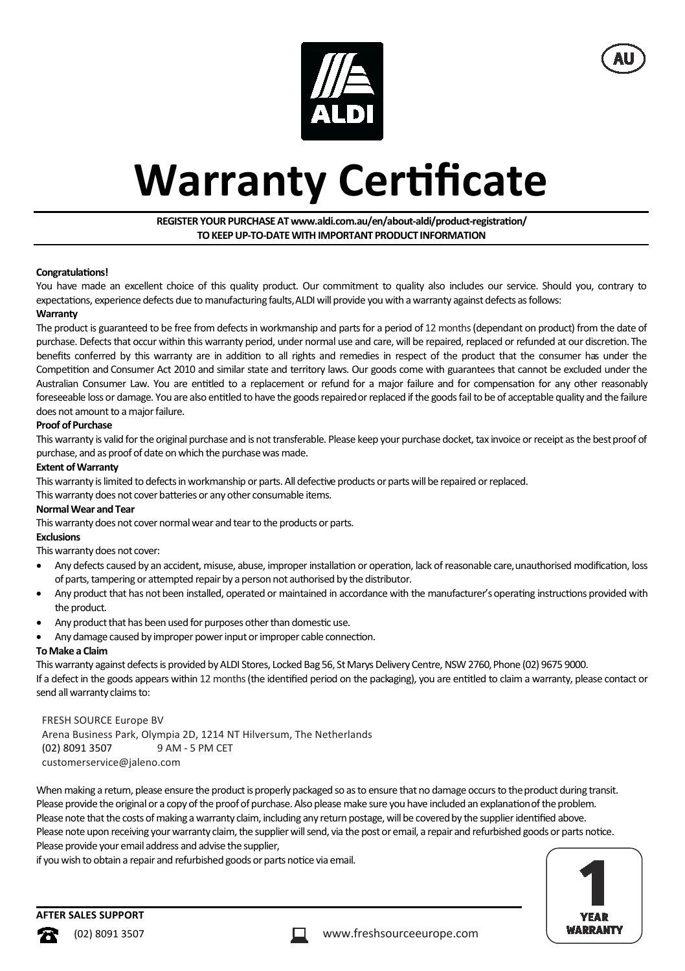



# **Warranty Certificate**

# **REGISTER YOUR PURCHASE AT www.aldi.com.au/en/about-aldi/product-registraƟon/ TO KEEP UP-TO-DATE WITH IMPORTANT PRODUCT INFORMATION**

### **CongratulaƟons!**

You have made an excellent choice of this quality product. Our commitment to quality also includes our service. Should you, contrary to expectations, experience defects due to manufacturing faults, ALDI will provide you with a warranty against defects as follows:

#### **Warranty**

The product is guaranteed to be free from defects in workmanship and parts for a period of 12 months (dependant on product) from the date of purchase. Defects that occur within this warranty period, under normal use and care, will be repaired, replaced or refunded at our discretion. The benefits conferred by this warranty are in addition to all rights and remedies in respect of the product that the consumer has under the Competition and Consumer Act 2010 and similar state and territory laws. Our goods come with guarantees that cannot be excluded under the Australian Consumer Law. You are entitled to a replacement or refund for a major failure and for compensation for any other reasonably foreseeable loss or damage. You are also entitled to have the goods repaired or replaced if the goods fail to be of acceptable quality and the failure does not amount to a major failure.

### **Proof of Purchase**

This warranty is valid for the original purchase and is not transferable. Please keep your purchase docket, tax invoice or receipt as the best proof of purchase, and as proof of date on which the purchase was made.

#### **Extent of Warranty**

This warranty is limited to defects in workmanship or parts. All defective products or parts will be repaired or replaced.

This warranty does not cover batteries or any other consumable items.

#### **Normal Wear and Tear**

This warranty does not cover normal wear and tear to the products or parts.

# **Exclusions**

This warranty does not cover:

- Any defects caused by an accident, misuse, abuse, improper installation or operation, lack of reasonable care, unauthorised modification, loss of parts, tampering or attempted repair by a person not authorised by the distributor.
- Any product that has not been installed, operated or maintained in accordance with the manufacturer's operating instructions provided with the product.
- Any product that has been used for purposes other than domestic use.
- Any damage caused by improper power input or improper cable connection.

#### **To Make a Claim**

This warranty against defects is provided by ALDI Stores, Locked Bag 56, St Marys Delivery Centre, NSW 2760, Phone (02) 9675 9000. If a defect in the goods appears within 12 months (the identified period on the packaging), you are entitled to claim a warranty, please contact or send all warranty claims to:

#### FRESH SOURCE Europe BV

Arena Business Park, Olympia 2D, 1214 NT Hilversum, The Netherlands (02) 8091 3507 9 AM - 5 PM CET customerservice@jaleno.com

When making a return, please ensure the product is properly packaged so as to ensure that no damage occurs to the product during transit. Please provide the original or a copy of the proof of purchase. Also please make sure you have included an explanation of the problem. Please note that the costs of making a warranty claim, including any return postage, will be covered by the supplier identified above. Please note upon receiving your warranty claim, the supplier will send, via the post or email, a repair and refurbished goods or parts notice. Please provide your email address and advise the supplier,

if you wish to obtain a repair and refurbished goods or parts notice via email.



# **AFTER SALES SUPPORT**